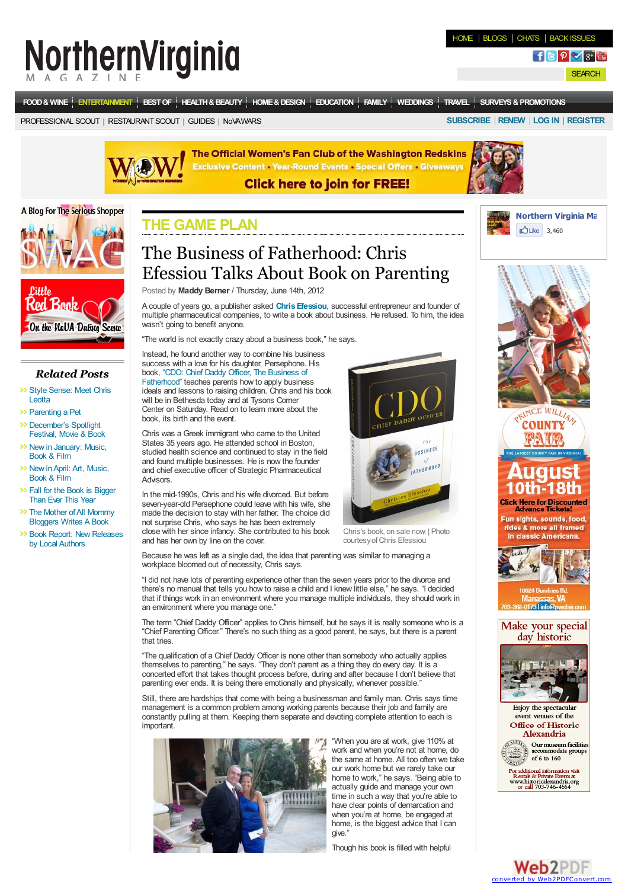# **NorthernVirginia**

**SEARCH** 

**[FOOD&](http://www.northernvirginiamag.com/food-and-wine/) WINE [ENTERTAINMENT](http://www.northernvirginiamag.com/entertainment/) [BESTOF](http://www.northernvirginiamag.com/best-of-2012/) [HEALTH&BEAUTY](http://www.northernvirginiamag.com/health-and-beauty/) [HOME&DESIGN](http://www.northernvirginiamag.com/home-and-design/) [EDUCATION](http://www.northernvirginiamag.com/education/) [FAMILY](http://www.northernvirginiamag.com/family/) [WEDDINGS](http://www.northernvirginiamag.com/weddings/) [TRAVEL](http://www.northernvirginiamag.com/travel/) [SURVEYS&PROMOTIONS](http://www.northernvirginiamag.com/surveys-and-promotions/)**

[PROFESSIONAL](http://www.northernvirginiamag.com/professional-scout/) SCOUT | [RESTAURANTSCOUT](http://www.northernvirginiamag.com/restaurant-search/?restaurant_name=Restaurant+Name&type=1) | [GUIDES](http://www.northernvirginiamag.com/guides/) | [NoVAWARS](http://www.northernvirginiamag.com/nova-wars/) **[SUBSCRIBE](https://www.northernvirginiamag.com/subscribe/) [RENEW](https://www.northernvirginiamag.com/subscribe/login.php) [LOG](http://www.northernvirginiamag.com/login/) IN [REGISTER](http://www.northernvirginiamag.com/register/)**



The Official Women's Fan Club of the Washington Redskins **Exclusive Content - Year-Round Events - Special Offers - Giveaways** 

#### **Click here to join for FREE!**



## A Blog For The Serious Shopper

*Related Posts* >> Style [Sense:](http://www.northernvirginiamag.com/health-and-beauty/swag/2011/09/30/style-sense-meet-chris-leotta/) Meet Chris

**On the NaUA Dating Scene** 

Baak

>> Fall for the Book is [Bigger](http://www.northernvirginiamag.com/game-plan/2011/09/16/fall-for-the-book-is-bigger-than-ever-this-year/) Than Ever This Year >> The Mother of All [Mommy](http://www.northernvirginiamag.com/game-plan/2012/06/14/the-mother-of-all-mommy-bloggers-writes-a-book/) Bloggers Writes A Book **>> Book Report: New [Releases](http://www.northernvirginiamag.com/game-plan/2011/11/14/book-report-new-releases-by-local-authors/)** by Local Authors

**Leotta** >> [Parenting](http://www.northernvirginiamag.com/family/pampered-pets/2012/03/23/parenting-a-pet/) a Pet [December's](http://www.northernvirginiamag.com/game-plan/2011/12/06/decembers-spotlight-festival-movie-book/) Spotlight Festival, Movie & Book >> New in [January:](http://www.northernvirginiamag.com/game-plan/2012/01/05/new-in-january-music-book-film/) Music, Book & Film >> New in April: Art, Music, Book & Film

#### **THE [GAME](http://www.northernvirginiamag.com/category/game-plan/) PLAN**

### The Business of Fatherhood: Chris Efessiou Talks About Book on Parenting

Posted by **Maddy Berner** / Thursday, June 14th, 2012

<sup>A</sup> couple of years go, <sup>a</sup> publisher asked **[ChrisEfessiou](http://chrisefessiou.com/index.php?option=com_content&view=article&id=69&Itemid=29)**, successful entrepreneur and founder of multiple pharmaceutical companies, to write <sup>a</sup> book about business. He refused. To him, the idea wasn't going to benefit anyone.

"The world is not exactly crazy about a business book," he says.

Instead, he found another way to combine his business success with a love for his daughter, Persephone. His book, "CDO: Chief Daddy Officer, The Business of [Fatherhood"](http://www.amazon.com/CDO-Chief-Daddy-Officer-Fatherhood/dp/1599322498/ref=sr_1_1?s=books&ie=UTF8&qid=1317142402&sr=1-1) teaches parents how to apply business ideals and lessons to raising children. Chris and his book will be in Bethesda today and at Tysons Corner Center on Saturday. Read on to learn more about the book, its birth and the event.

Chris was a Greek immigrant who came to the United States 35 years ago. He attended school in Boston, studied health science and continued to stay in the field and found multiple businesses. He is now the founder and chief executive officer of Strategic Pharmaceutical **Advisors** 

In the mid-1990s, Chris and his wife divorced. But before<br>seven-year-old Persephone could leave with his wife, she made the decision to stay with her father. The choice did not surprise Chris, who says he has been extremely close with her since infancy. She contributed to his book

and has her own by line on the cover.

Because he was left as a single dad, the idea that parenting was similar to managing a workplace bloomed out of necessity, Chris says.

"I did not have lots of parenting experience other than the seven years prior to the divorce and there's no manual that tells you how to raise a child and I knew little else," he says. "I decided that if things work in an environment where you manage multiple individuals, they should work in an environment where you manage one."

The term "Chief Daddy Officer" applies to Chris himself, but he says it is really someone who is a "Chief Parenting Officer." There's no such thing as a good parent, he says, but there is a parent that tries.

"The qualification of a Chief Daddy Officer is none other than somebody who actually applies themselves to parenting," he says. "They don't parent as a thing they do every day. It is a concerted effort that takes thought process before, during and after because I don't believe that parenting ever ends. It is being there emotionally and physically, whenever possible.'

Still, there are hardships that come with being <sup>a</sup> businessman and family man. Chris says time management is <sup>a</sup> common problem among working parents because their job and family are constantly pulling at them. Keeping them separate and devoting complete attention to each is **important** 



"When you are at work, give 110% at work and when you're not at home, do the same at home. All too often we take our work home but we rarely take our home to work," he says. "Being able to actually guide and manage your own time in such a way that you're able to have clear points of demarcation and when you're at home, be engaged at home, is the biggest advice that I can give."

Though his book is filled with helpful







Enjoy the spectacular event yenues of the Office of Historic **Alexandria** 

 $\overbrace{(\frac{1}{\sqrt{10}})}^{\text{sum}}$  Our museum facilities<br>accommodate groups<br> $\overbrace{(\frac{1}{\sqrt{10}})}^{\text{sum}}$  of 6 to 160

For additional information visit<br>Rentals & Private Events at<br>www.historicalexandria.org<br>or call 703-746-4554





Chris's book, on sale now. | Photo courtesyofChris Efessiou